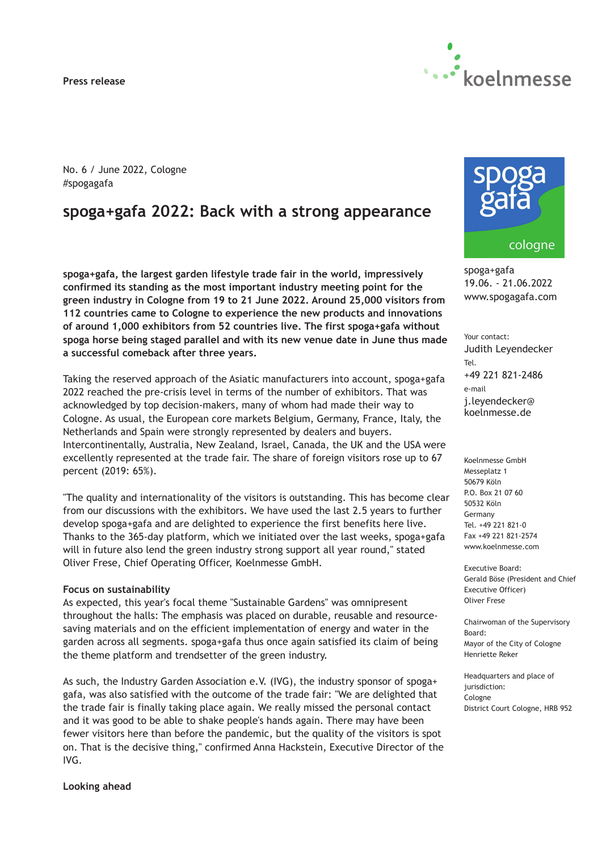**Press release**



No. 6 / June 2022, Cologne #spogagafa

# **spoga+gafa 2022: Back with a strong appearance**

**spoga+gafa, the largest garden lifestyle trade fair in the world, impressively confirmed its standing as the most important industry meeting point for the green industry in Cologne from 19 to 21 June 2022. Around 25,000 visitors from 112 countries came to Cologne to experience the new products and innovations of around 1,000 exhibitors from 52 countries live. The first spoga+gafa without spoga horse being staged parallel and with its new venue date in June thus made a successful comeback after three years.**

Taking the reserved approach of the Asiatic manufacturers into account, spoga+gafa 2022 reached the pre-crisis level in terms of the number of exhibitors. That was acknowledged by top decision-makers, many of whom had made their way to Cologne. As usual, the European core markets Belgium, Germany, France, Italy, the Netherlands and Spain were strongly represented by dealers and buyers. Intercontinentally, Australia, New Zealand, Israel, Canada, the UK and the USA were excellently represented at the trade fair. The share of foreign visitors rose up to 67 percent (2019: 65%).

"The quality and internationality of the visitors is outstanding. This has become clear from our discussions with the exhibitors. We have used the last 2.5 years to further develop spoga+gafa and are delighted to experience the first benefits here live. Thanks to the 365-day platform, which we initiated over the last weeks, spoga+gafa will in future also lend the green industry strong support all year round," stated Oliver Frese, Chief Operating Officer, Koelnmesse GmbH.

#### **Focus on sustainability**

As expected, this year's focal theme "Sustainable Gardens" was omnipresent throughout the halls: The emphasis was placed on durable, reusable and resourcesaving materials and on the efficient implementation of energy and water in the garden across all segments. spoga+gafa thus once again satisfied its claim of being the theme platform and trendsetter of the green industry.

As such, the Industry Garden Association e.V. (IVG), the industry sponsor of spoga+ gafa, was also satisfied with the outcome of the trade fair: "We are delighted that the trade fair is finally taking place again. We really missed the personal contact and it was good to be able to shake people's hands again. There may have been fewer visitors here than before the pandemic, but the quality of the visitors is spot on. That is the decisive thing," confirmed Anna Hackstein, Executive Director of the IVG.



spoga+gafa 19.06. - 21.06.2022 www.spogagafa.com

Your contact: Judith Leyendecker Tel. +49 221 821-2486 e-mail j.leyendecker@ koelnmesse.de

Koelnmesse GmbH Messeplatz 1 50679 Köln P.O. Box 21 07 60 50532 Köln Germany Tel. +49 221 821-0 Fax +49 221 821-2574 www.koelnmesse.com

Executive Board: Gerald Böse (President and Chief Executive Officer) Oliver Frese

Chairwoman of the Supervisory Board: Mayor of the City of Cologne Henriette Reker

Headquarters and place of jurisdiction: Cologne District Court Cologne, HRB 952

**Looking ahead**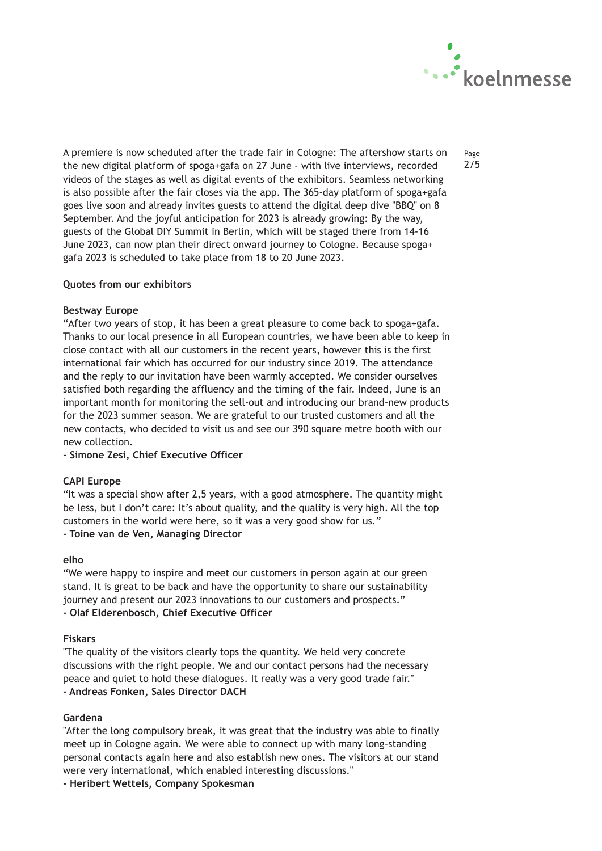

Page 2/5

A premiere is now scheduled after the trade fair in Cologne: The aftershow starts on the new digital platform of spoga+gafa on 27 June - with live interviews, recorded videos of the stages as well as digital events of the exhibitors. Seamless networking is also possible after the fair closes via the app. The 365-day platform of spoga+gafa goes live soon and already invites guests to attend the digital deep dive "BBQ" on 8 September. And the joyful anticipation for 2023 is already growing: By the way, guests of the Global DIY Summit in Berlin, which will be staged there from 14-16 June 2023, can now plan their direct onward journey to Cologne. Because spoga+ gafa 2023 is scheduled to take place from 18 to 20 June 2023.

## **Quotes from our exhibitors**

## **Bestway Europe**

"After two years of stop, it has been a great pleasure to come back to spoga+gafa. Thanks to our local presence in all European countries, we have been able to keep in close contact with all our customers in the recent years, however this is the first international fair which has occurred for our industry since 2019. The attendance and the reply to our invitation have been warmly accepted. We consider ourselves satisfied both regarding the affluency and the timing of the fair. Indeed, June is an important month for monitoring the sell-out and introducing our brand-new products for the 2023 summer season. We are grateful to our trusted customers and all the new contacts, who decided to visit us and see our 390 square metre booth with our new collection.

**- Simone Zesi, Chief Executive Officer**

## **CAPI Europe**

"It was a special show after 2,5 years, with a good atmosphere. The quantity might be less, but I don't care: It's about quality, and the quality is very high. All the top customers in the world were here, so it was a very good show for us." **- Toine van de Ven, Managing Director**

## **elho**

"We were happy to inspire and meet our customers in person again at our green stand. It is great to be back and have the opportunity to share our sustainability journey and present our 2023 innovations to our customers and prospects." **- Olaf Elderenbosch, Chief Executive Officer**

## **Fiskars**

"The quality of the visitors clearly tops the quantity. We held very concrete discussions with the right people. We and our contact persons had the necessary peace and quiet to hold these dialogues. It really was a very good trade fair." **- Andreas Fonken, Sales Director DACH**

## **Gardena**

"After the long compulsory break, it was great that the industry was able to finally meet up in Cologne again. We were able to connect up with many long-standing personal contacts again here and also establish new ones. The visitors at our stand were very international, which enabled interesting discussions."

## **- Heribert Wettels, Company Spokesman**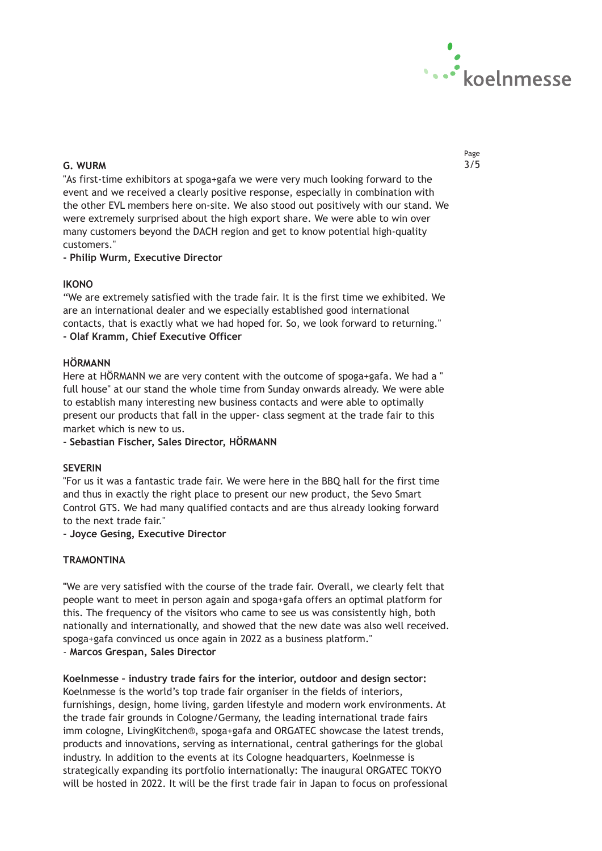

## **G. WURM** 3/5

"As first-time exhibitors at spoga+gafa we were very much looking forward to the event and we received a clearly positive response, especially in combination with the other EVL members here on-site. We also stood out positively with our stand. We were extremely surprised about the high export share. We were able to win over many customers beyond the DACH region and get to know potential high-quality customers."

## **- Philip Wurm, Executive Director**

## **IKONO**

"We are extremely satisfied with the trade fair. It is the first time we exhibited. We are an international dealer and we especially established good international contacts, that is exactly what we had hoped for. So, we look forward to returning." **- Olaf Kramm, Chief Executive Officer**

## **HÖRMANN**

Here at HÖRMANN we are very content with the outcome of spoga+gafa. We had a " full house" at our stand the whole time from Sunday onwards already. We were able to establish many interesting new business contacts and were able to optimally present our products that fall in the upper- class segment at the trade fair to this market which is new to us.

**- Sebastian Fischer, Sales Director, HÖRMANN**

## **SEVERIN**

"For us it was a fantastic trade fair. We were here in the BBQ hall for the first time and thus in exactly the right place to present our new product, the Sevo Smart Control GTS. We had many qualified contacts and are thus already looking forward to the next trade fair."

## **- Joyce Gesing, Executive Director**

## **TRAMONTINA**

**"**We are very satisfied with the course of the trade fair. Overall, we clearly felt that people want to meet in person again and spoga+gafa offers an optimal platform for this. The frequency of the visitors who came to see us was consistently high, both nationally and internationally, and showed that the new date was also well received. spoga+gafa convinced us once again in 2022 as a business platform." - **Marcos Grespan, Sales Director**

**Koelnmesse – industry trade fairs for the interior, outdoor and design sector:** Koelnmesse is the world's top trade fair organiser in the fields of interiors, furnishings, design, home living, garden lifestyle and modern work environments. At the trade fair grounds in Cologne/Germany, the leading international trade fairs imm cologne, LivingKitchen®, spoga+gafa and ORGATEC showcase the latest trends, products and innovations, serving as international, central gatherings for the global industry. In addition to the events at its Cologne headquarters, Koelnmesse is strategically expanding its portfolio internationally: The inaugural ORGATEC TOKYO will be hosted in 2022. It will be the first trade fair in Japan to focus on professional Page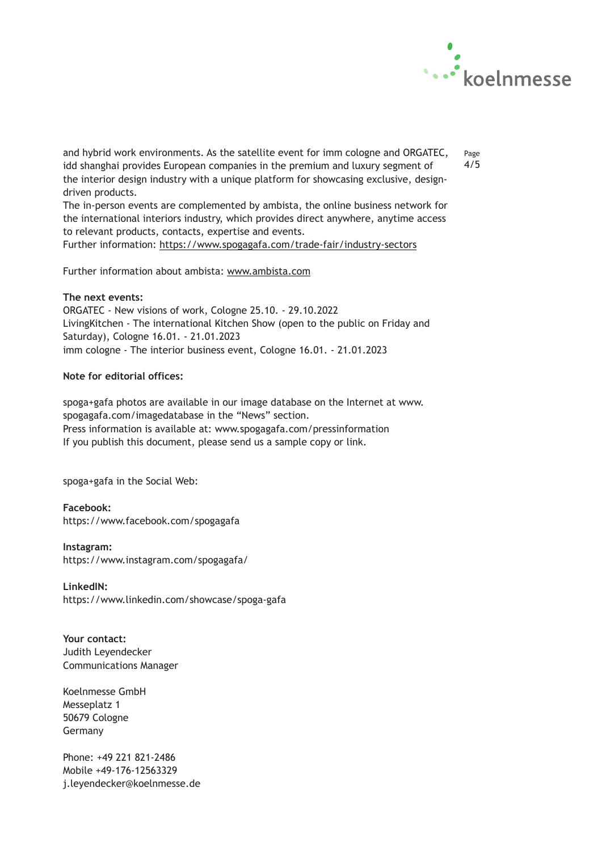

and hybrid work environments. As the satellite event for imm cologne and ORGATEC, idd shanghai provides European companies in the premium and luxury segment of the interior design industry with a unique platform for showcasing exclusive, designdriven products.

Page 4/5

The in-person events are complemented by ambista, the online business network for the international interiors industry, which provides direct anywhere, anytime access to relevant products, contacts, expertise and events.

Further information: <https://www.spogagafa.com/trade-fair/industry-sectors>

Further information about ambista: [www.ambista.com](http://www.ambista.com/)

## **The next events:**

ORGATEC - New visions of work, Cologne 25.10. - 29.10.2022 LivingKitchen - The international Kitchen Show (open to the public on Friday and Saturday), Cologne 16.01. - 21.01.2023 imm cologne - The interior business event, Cologne 16.01. - 21.01.2023

## **Note for editorial offices:**

spoga+gafa photos are available in our image database on the Internet at www. spogagafa.com/imagedatabase in the "News" section. Press information is available at: www.spogagafa.com/pressinformation If you publish this document, please send us a sample copy or link.

spoga+gafa in the Social Web:

**Facebook:** https://www.facebook.com/spogagafa

**Instagram:** https://www.instagram.com/spogagafa/

**LinkedIN:** https://www.linkedin.com/showcase/spoga-gafa

**Your contact:** Judith Leyendecker Communications Manager

Koelnmesse GmbH Messeplatz 1 50679 Cologne Germany

Phone: +49 221 821-2486 Mobile +49-176-12563329 j.leyendecker@koelnmesse.de